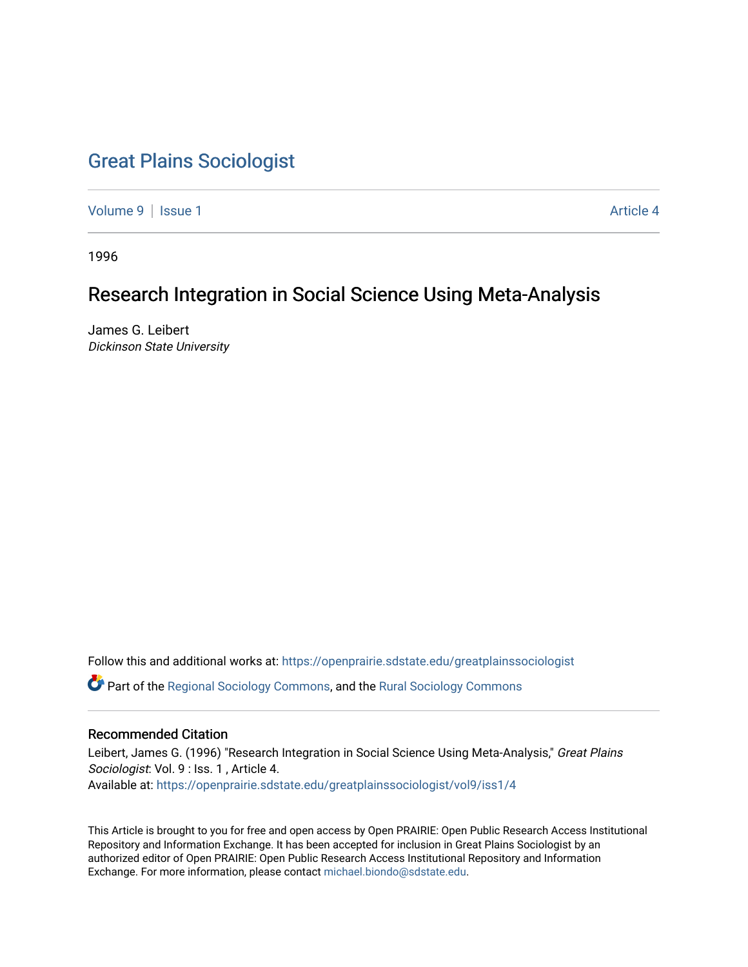# [Great Plains Sociologist](https://openprairie.sdstate.edu/greatplainssociologist)

[Volume 9](https://openprairie.sdstate.edu/greatplainssociologist/vol9) | [Issue 1](https://openprairie.sdstate.edu/greatplainssociologist/vol9/iss1) Article 4

1996

# Research Integration in Social Science Using Meta-Analysis

James G. Leibert Dickinson State University

Follow this and additional works at: [https://openprairie.sdstate.edu/greatplainssociologist](https://openprairie.sdstate.edu/greatplainssociologist?utm_source=openprairie.sdstate.edu%2Fgreatplainssociologist%2Fvol9%2Fiss1%2F4&utm_medium=PDF&utm_campaign=PDFCoverPages) 

Part of the [Regional Sociology Commons](http://network.bepress.com/hgg/discipline/427?utm_source=openprairie.sdstate.edu%2Fgreatplainssociologist%2Fvol9%2Fiss1%2F4&utm_medium=PDF&utm_campaign=PDFCoverPages), and the [Rural Sociology Commons](http://network.bepress.com/hgg/discipline/428?utm_source=openprairie.sdstate.edu%2Fgreatplainssociologist%2Fvol9%2Fiss1%2F4&utm_medium=PDF&utm_campaign=PDFCoverPages) 

#### Recommended Citation

Leibert, James G. (1996) "Research Integration in Social Science Using Meta-Analysis," Great Plains Sociologist: Vol. 9 : Iss. 1, Article 4. Available at: [https://openprairie.sdstate.edu/greatplainssociologist/vol9/iss1/4](https://openprairie.sdstate.edu/greatplainssociologist/vol9/iss1/4?utm_source=openprairie.sdstate.edu%2Fgreatplainssociologist%2Fvol9%2Fiss1%2F4&utm_medium=PDF&utm_campaign=PDFCoverPages) 

This Article is brought to you for free and open access by Open PRAIRIE: Open Public Research Access Institutional Repository and Information Exchange. It has been accepted for inclusion in Great Plains Sociologist by an authorized editor of Open PRAIRIE: Open Public Research Access Institutional Repository and Information Exchange. For more information, please contact [michael.biondo@sdstate.edu.](mailto:michael.biondo@sdstate.edu)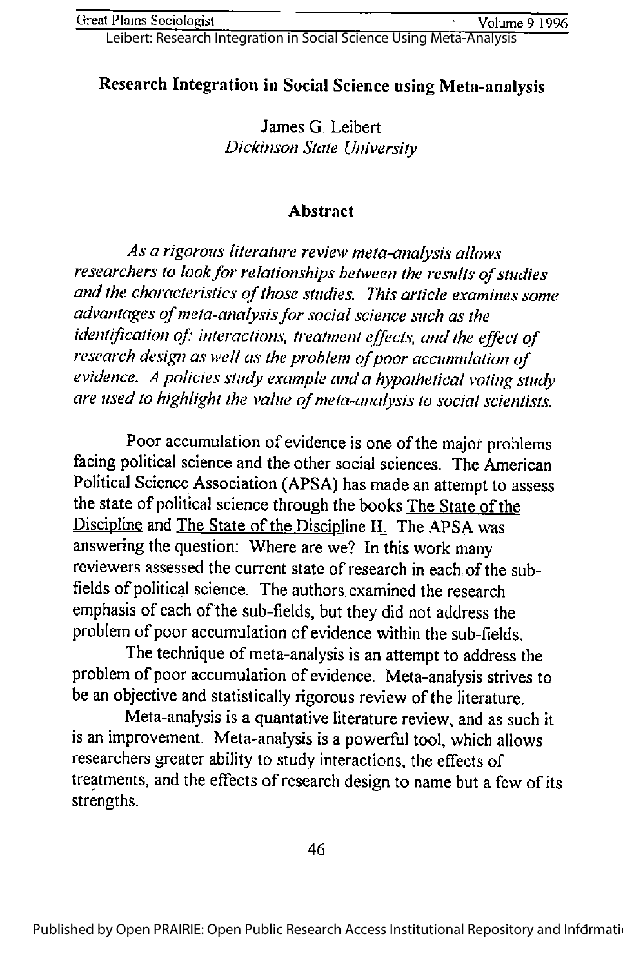Leibert: Research Integration in Social Science Using Meta-Analysis

# Research Integration in Social Science using Meta-analysis

James G. Leibert Dickinson State University

#### Abstract

Asa rigorous literature review meta-analysis allows researchers to look for relationships between the results of studies and the characteristics of those studies. This article examines some advantages of meta-analysis for social science such as the identification of: interactions, treatment effects, and the effect of research design as well as the problem of poor accumulation of evidence. A policies study example and a hypothetical voting study are used to highlight the value of meta-analysis to social scientists.

Poor accumulation of evidence is one of the major problems facing political science and the other social sciences. The American Political Science Association (APSA) has made an attempt to assess the state of political science through the books The State of the Discipline and The State of the Discipline II. The APSA was answering the question: Where are we? In this work many reviewers assessed the current state of research in each of the subfields of political science. The authors examined the research emphasis of each of the sub-fields, but they did not address the problem of poor accumulation of evidence within the sub-fields.

The technique of meta-analysis is an attempt to address the problem of poor accumulation of evidence. Meta-analysis strives to be an objective and statistically rigorous review of the literature.

Meta-analysis is a quantative literature review, and as such it is an improvement. Meta-analysis is a powerful tool, which allows researchers greater ability to study interactions, the effects of treatments, and the effects of research design to name but a few of its strengths.

46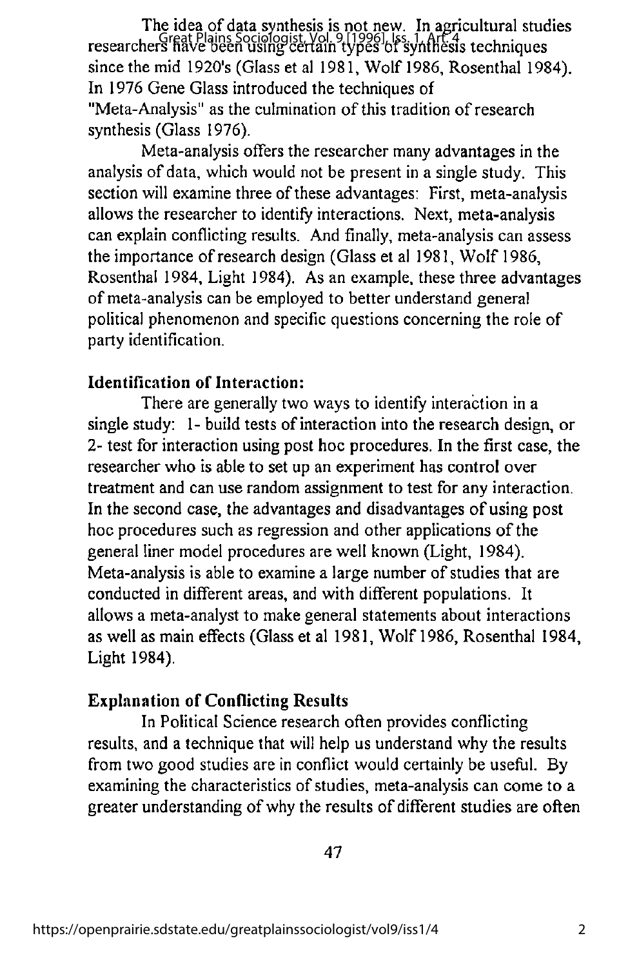The idea of data synthesis is not new. In agricultural studies researchers have been using certain types of synthesis techniques<br>researchers have been using certain types of synthesis techniques since the mid 1920's (Glass et al 1981, Wolf 1986, Rosenthal 1984). In 1976 Gene Glass introduced the techniques of "Meta-Analysis" as the culmination of this tradition of research synthesis (Glass 1976).

Meta-analysis offers the researcher many advantages in the analysis of data, which would not be present in a single study. This section will examine three of these advantages: First, meta-analysis allows the researcher to identify interactions. Next, meta-analysis can explain conflicting results. And finally, meta-analysis can assess the importance of research design (Glass et al 1981, Wolf 1986, Rosenthal 1984, Light 1984). As an example, these three advantages of meta-analysis can be employed to better understand general political phenomenon and specific questions concerning the role of party identification.

## Identification of Interaction:

There are generally two ways to identify interaction in a single study: 1- build tests of interaction into the research design, or 2- test for interaction using post hoc procedures. In the first case, the researcher who is able to set up an experiment has control over treatment and can use random assignment to test for any interaction. In the second case, the advantages and disadvantages of using post hoc procedures such as regression and other applications of the general liner model procedures are well known (Light, 1984). Meta-analysis is able to examine a large number of studies that are conducted in different areas, and with different populations. It allows a meta-analyst to make general statements about interactions as well as main effects (Glass et al 1981, Wolf 1986, Rosenthal 1984, Light 1984).

#### Explanation of Conflicting Results

In Political Science research oflen provides conflicting results, and a technique that will help us understand why the results from two good studies are in conflict would certainly be useful. By examining the characteristics of studies, meta-analysis can come to a greater understanding ofwhy the results of different studies are often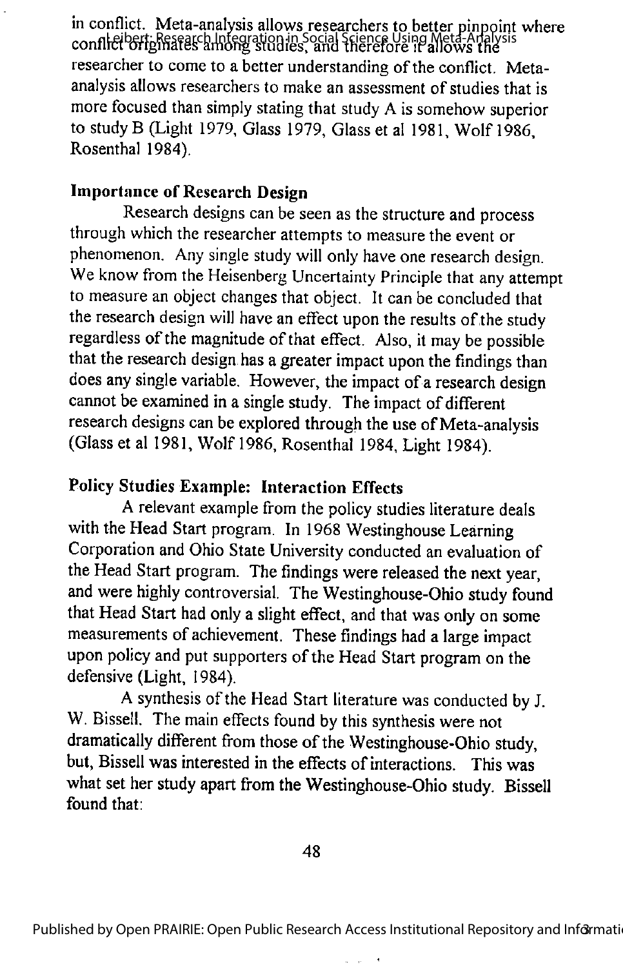in conflict. Meta-analysis allows researchers to better pinpoint where conflict originates among studies, and therefore it allows the Leibert: Research Integration in Social Science Using Meta-Analysis researcher to come to a better understanding of the conflict. Metaanalysis allows researchers to make an assessment of studies that is more focused than simply stating that study A is somehow superior to study B (Light 1979, Glass 1979, Glass et al 1981, Wolf 1986, Rosenthal 1984).

#### Importance of Research Design

Research designs can be seen as the structure and process through which the researcher attempts to measure the event or phenomenon. Any single study will only have one research design. We know from the Heisenberg Uncertainty Principle that any attempt to measure an object changes that object. It can be concluded that the research design will have an effect upon the results of the study regardless of the magnitude of that effect. Also, it may be possible that the research design has a greater impact upon the findings than does any single variable. However, the impact of a research design cannot be examined in a single study. The impact of different research designs can be explored through the use of Meta-analysis (Glass et al 1981, Wolf 1986, Rosenthal 1984, Light 1984).

# Policy Studies Example; Interaction Effects

A relevant example from the policy studies literature deals with the Head Start program. In 1968 Westinghouse Learning Corporation and Ohio State University conducted an evaluation of the Head Start program. The findings were released the next year, and were highly controversial. The Westinghouse-Ohio study found that Head Start had only a slight effect, and that was only on some measurements of achievement. These findings had a large impact upon policy and put supporters of the Head Start program on the defensive (Light, 1984).

A synthesis of the Head Start literature was conducted by J. W. Bissell. The main effects found by this synthesis were not dramatically different from those of the Westinghouse-Ohio study, but, Bissell was interested in the effects of interactions. This was what set her study apart from the Westinghouse-Ohio study. Bissell found that: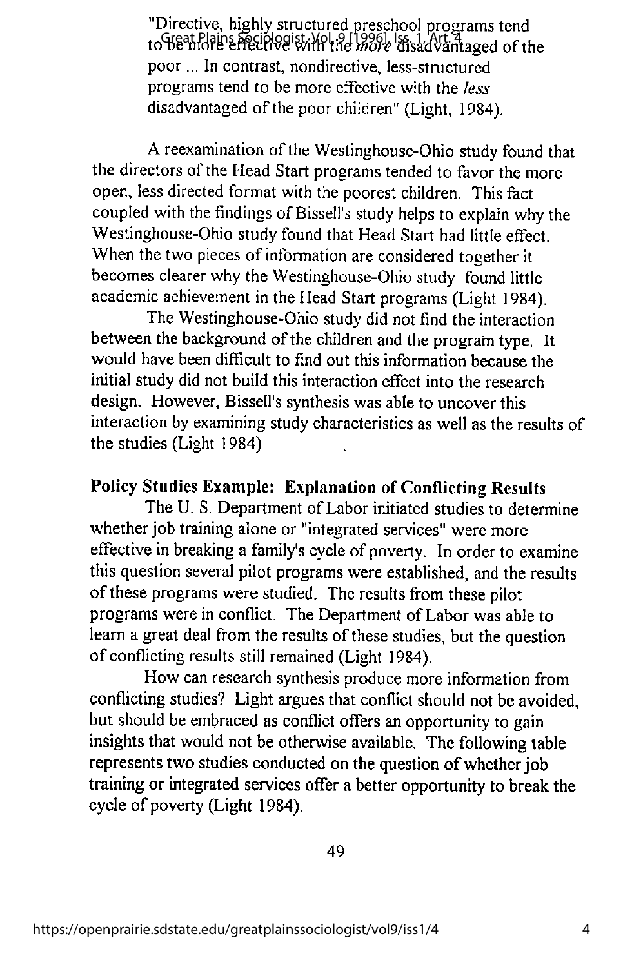"Directive, highly structured preschool programs tend to Great Plains Speichogist, Vol. 9 [1996], Iss. 1, Art. 4 with the more disadvantaged of the poor ... In contrast, nondirective, less-structured programs tend to be more effective with the fess disadvantaged of the poor children" (Light, 1984).

A reexamination of the Westinghouse-Ohio study found that the directors of the Head Start programs tended to favor the more open, less directed format with the poorest children. This fact coupled with the findings of Bissell's study helps to explain why the Westinghouse-Ohio study found that Head Start had little effect. When the two pieces of information are considered together it becomes clearer why the Westinghouse-Ohio study found little academic achievement in the Head Start programs (Light 1984).

The Westinghouse-Ohio study did not find the interaction between the background of the children and the programtype. It would have been difficult to find out this information because the initial study did not build this interaction effect into the research design. However, Bissell's synthesis was able to uncover this interaction by examining study characteristics as well as the results of the studies (Light 1984).

# Policy Studies Example: Explanation of Conflicting Results

The U. S. Department of Labor initiated studies to determine whether job training alone or "integrated services" were more effective in breaking a family's cycle of poverty. In order to examine this question several pilot programs were established, and the results of these programs were studied. The results from these pilot programs were in conflict. The Department of Labor was able to learn a great deal from the results of these studies, but the question of conflicting results still remained (Light 1984).

How can research synthesis produce more information from conflicting studies? Light argues that conflict should not be avoided, but should be embraced as conflict offers an opportunity to gain insights that would not be otherwise available. The following table represents two studies conducted on the question of whether job training or integrated services offer a better opportunity to break the cycle of poverty (Light 1984).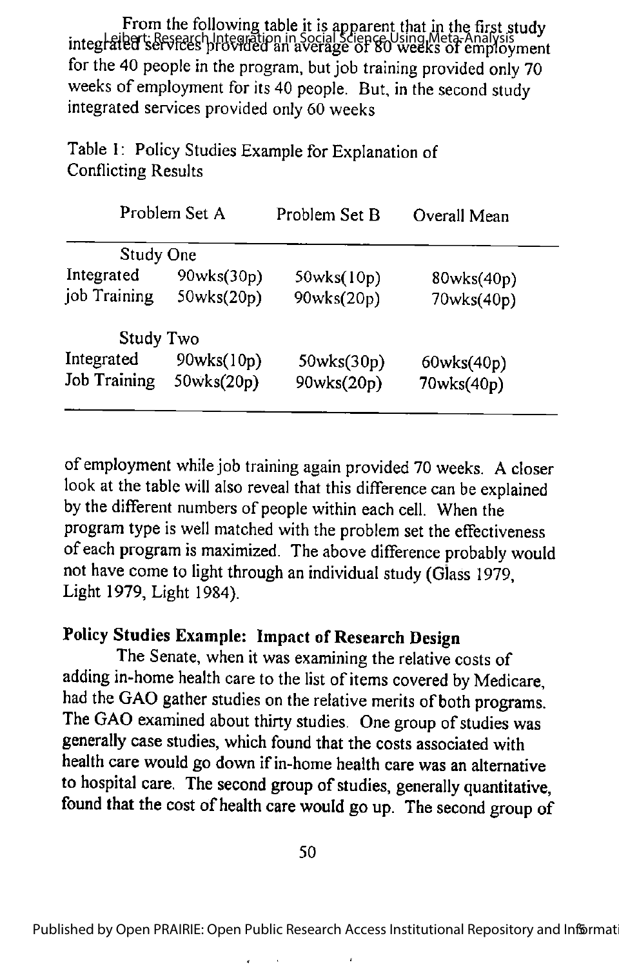From the following table it is apparent that in the first study integration is research Integration in Social Science Using Meta-Analysis<br>Integration services provided an average of 80 weeks of employment for the 40 people in the program, but job training provided only 70 weeks of employment for its 40 people. But, in the second study integrated services provided only 60 weeks

Table I: Policy Studies Example for Explanation of Conflicting Results

| Problem Set A       |            | Problem Set B | Overall Mean |  |  |  |
|---------------------|------------|---------------|--------------|--|--|--|
| <b>Study One</b>    |            |               |              |  |  |  |
| Integrated          | 90wks(30p) | 50wks(10p)    | 80wks(40p)   |  |  |  |
| job Training        | 50wks(20p) | 90wks(20p)    | 70wks(40p)   |  |  |  |
| <b>Study Two</b>    |            |               |              |  |  |  |
| Integrated          | 90wks(10p) | 50wks(30p)    | 60wks(40p)   |  |  |  |
| <b>Job Training</b> | 50wks(20p) | 90wks(20p)    | 70wks(40p)   |  |  |  |
|                     |            |               |              |  |  |  |

of employment while job training again provided 70 weeks. A closer look at the table will also reveal that this difference can be explained bythe different numbers of people within each cell. When the program type is well matched with the problem set the effectiveness of each program is maximized. The above difference probably would not have come to light through an individual study (Glass 1979, Light 1979, Light 1984).

# Policy Studies Example: Impact of Research Design

The Senate, when it was examining the relative costs of adding in-home health care to the list of items covered by Medicare, had the GAO gather studies on the relative merits of both programs. The GAO examined about thirty studies. One group of studies was generally case studies, which found that the costs associated with health care would go down if in-home health care was an alternative to hospital care. The second group of studies, generally quantitative, found that the cost of health care would go up. The second group of

50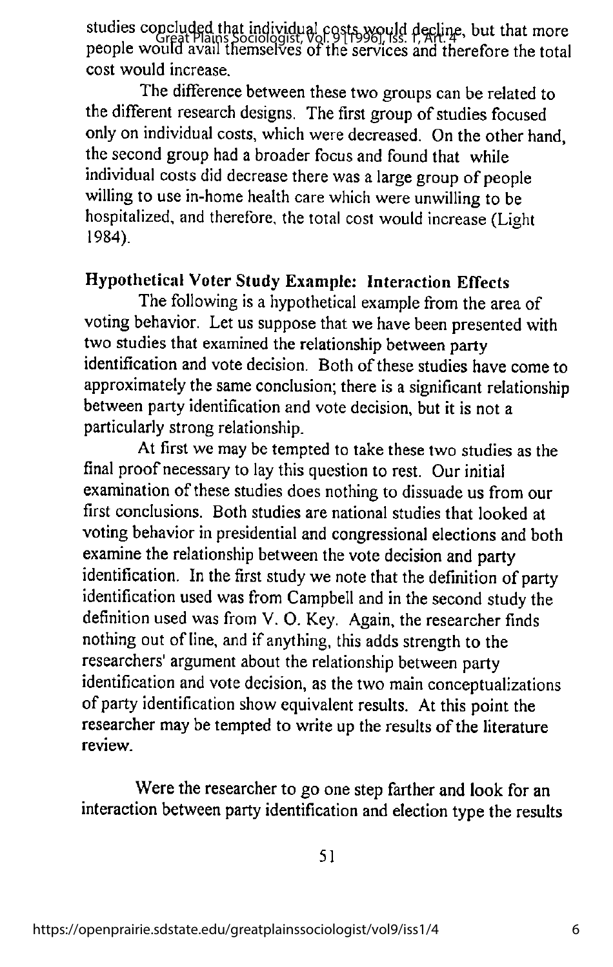studies concluded that individual costs would decline, but that more stactes excreat plains Sociologist, Vol. 9 [1996], Iss. P, Art. 4, Out that more<br>people would avail themselves of the services and therefore the total cost would increase.

The difference between these two groups can be related to the different research designs. The first group of studies focused only on individual costs, which were decreased. On the other hand, the second group had a broader focus and found that while individual costs did decrease there was a large group of people willing to use in-home health care which were unwilling to be hospitalized, and therefore, the total cost would increase (Light 1984).

## Hypothetical Voter Study Example: Interaction Effects

The following is a hypothetical example from the area of voting behavior. Let us suppose that we have been presented with two studies that examined the relationship between party identification and vote decision. Both of these studies have come to approximately the same conclusion; there is a significant relationship between party identification and vote decision, but it is not a particularly strong relationship.

At first we may be tempted to take these two studies as the final proof necessary to lay this question to rest. Our initial examination of these studies does nothing to dissuade us from our first conclusions. Both studies are national studies that looked at voting behavior in presidential and congressional elections and both examine the relationship between the vote decision and party identification. In the first study we note that the definition of party identification used was from Campbell and in the second study the definition used was from V. O. Key. Again, the researcher finds nothing out of line, and if anything, this adds strength to the researchers' argument about the relationship between party identification and vote decision, as the two main conceptualizations of party identification show equivalent results. At this point the researcher may be tempted to write up the results of the literature review.

Were the researcher to go one step farther and look for an interaction between party identification and election type the results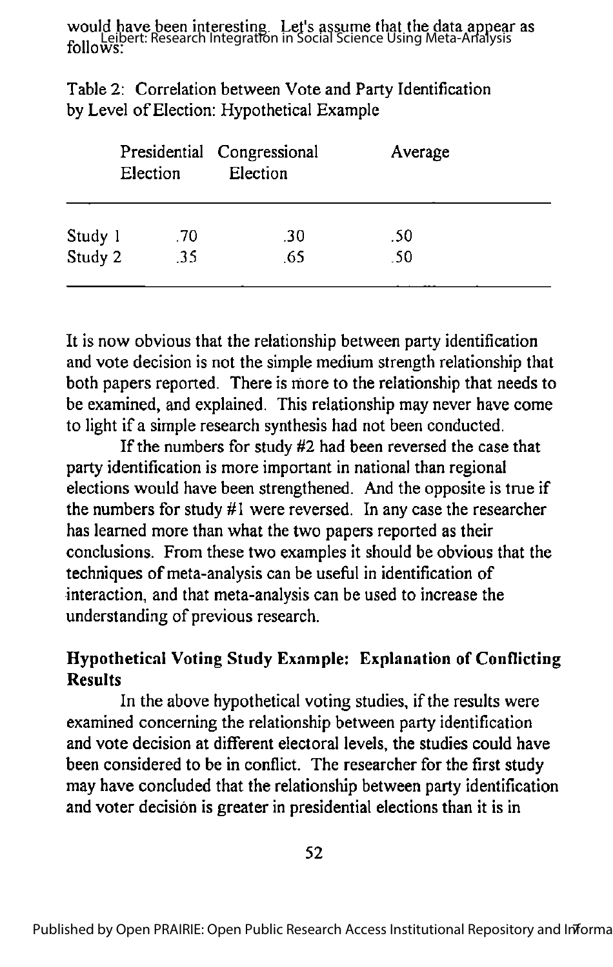would have been interesting. Let's assume that the data appear as **Mourney Leibert: Research Integration in Social Science Using Meta-Analysis**<br>follows:

| Election |     | Presidential Congressional<br>Election | Average |
|----------|-----|----------------------------------------|---------|
| Study 1  | -70 | .30                                    | .50     |
| Study 2  | .35 | .65                                    | .50     |

Table 2: Correlation between Vote and Party Identification by Level of Election: Hypothetical Example

It is now obvious that the relationship between party identification and vote decision is not the simple medium strength relationship that both papers reported. There is more to the relationship that needs to be examined, and explained. This relationship may never have come to light if a simple research synthesis had not been conducted.

If the numbers for study  $#2$  had been reversed the case that party identification is more important in national than regional elections would have been strengthened. And the opposite is true if the numbers for study #1 were reversed. In any case the researcher has learned more than what the two papers reported as their conclusions. From these two examples it should be obvious that the techniques of meta-analysis can be useful in identification of interaction, and that meta-analysis can be used to increase the understanding of previous research.

# Hypothetical Voting Study Example: Explanation of Conflicting Results

In the above hypothetical voting studies, if the results were examined concerning the relationship between party identification and vote decision at different electoral levels, the studies could have been considered to be in conflict. The researcher for the first study may have concluded that the relationship between party identification and voter decision is greater in presidential elections than it is in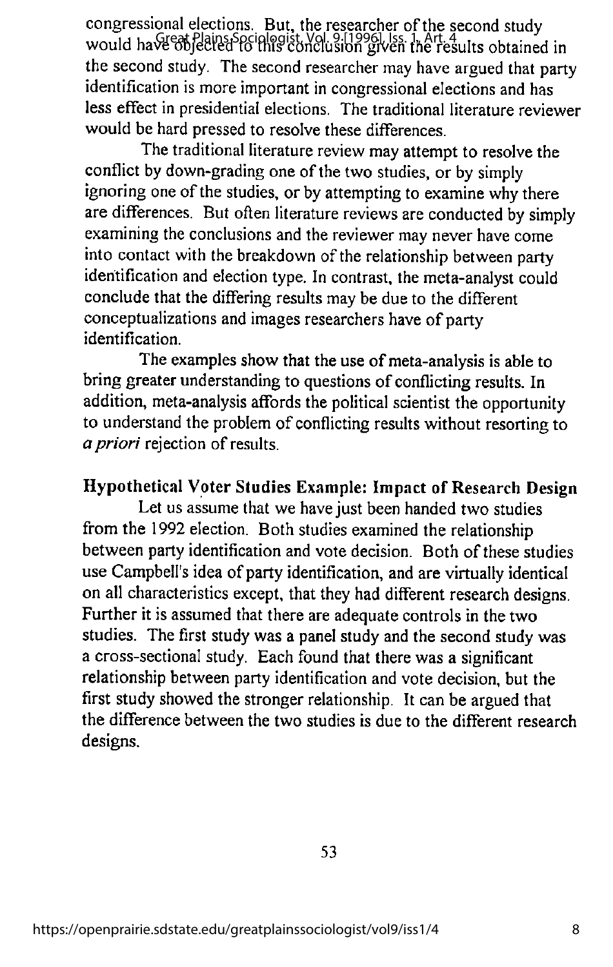congressional elections. But, the researcher of the second study would have objected to this conclusion given the results obtained in the second study. The second researcher may have argued that party identification is more important in congressional elections and has less effect in presidential elections. The traditional literature reviewer would be hard pressed to resolve these differences.

The traditional literature review mayattempt to resolve the conflict by down-grading one of the two studies, or by simply ignoring one of the studies, or by attempting to examine why there are differences. But often literature reviews are conducted by simply examining the conclusions and the reviewer may never have come into contact with the breakdown of the relationship between party identification and election type. In contrast, themeta-analyst could conclude that the differing results may be due to the different conceptualizations and images researchers have of party identification.

The examples show that the use of meta-analysis is able to bring greater understanding to questions of conflicting results. In addition, meta-analysis affords the political scientist the opportunity to understand the problem of conflicting results without resorting to a priori rejection of results.

## Hypothetical Voter Studies Example: Impact of Research Design

Let us assume that we have just been handed two studies from the 1992 election. Both studies examined the relationship between party identification and vote decision. Both of these studies use Campbell's idea of party identification, and are virtually identical on all characteristics except, that they had different research designs. Further it is assumed that there are adequate controls in the two studies. The first study was a panel study and the second study was a cross-sectional study. Each found that therewas a significant relationship between party identification and vote decision, but the first study showed the stronger relationship. It can be argued that the difference between the two studies is due to the different research designs.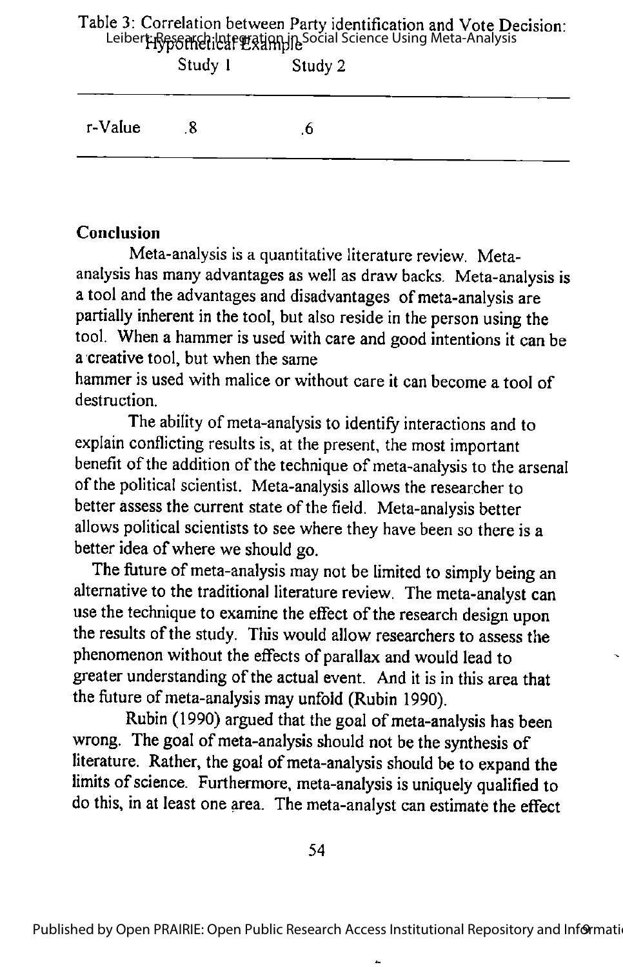## Table 3: Correlation between Party identification and Vote Decision: Leiber**t: Research: http://degration.in Social Science Using Meta-Analysis**

|         | Study 1                 | Study 2 |  |
|---------|-------------------------|---------|--|
| r-Value | $\overline{\mathbf{8}}$ | .0      |  |

# Conclusion

Meta-analysis is a quantitative literature review. Metaanalysis has many advantages aswell as draw backs. Meta-analysis is a tool and the advantages and disadvantages of meta-analysis are partially inherent in the tool, but also reside in the person using the tool. When a hammer is used with care and good intentions it can be a creative tool, but when the same

hammer is used with malice or without care it can become a tool of destruction.

The ability of meta-analysis to identify interactions and to explain conflicting results is, at the present, the most important benefit of the addition of the technique of meta-analysis to the arsenal of the political scientist. Meta-analysis allows the researcher to better assess the current state of the field. Meta-analysis better allows political scientists to see where they have been so there is a better idea of where we should go.

The future of meta-analysis may not be limited to simply being an alternative to the traditional literature review. The meta-analyst can use the technique to examine the effect of the research design upon the results of the study. This would allow researchers to assess the phenomenon without the effects of parallax andwould lead to greater understanding of the actual event. And it is in this area that the future of meta-analysis may unfold (Rubin 1990).

Rubin (1990) argued that the goal of meta-analysis has been wrong. The goal of meta-analysis should not be the synthesis of literature. Rather, the goal of meta-analysis should be to expand the limits of science. Furthermore, meta-analysis is uniquely qualified to do this, in at least one area. The meta-analyst can estimate the effect

54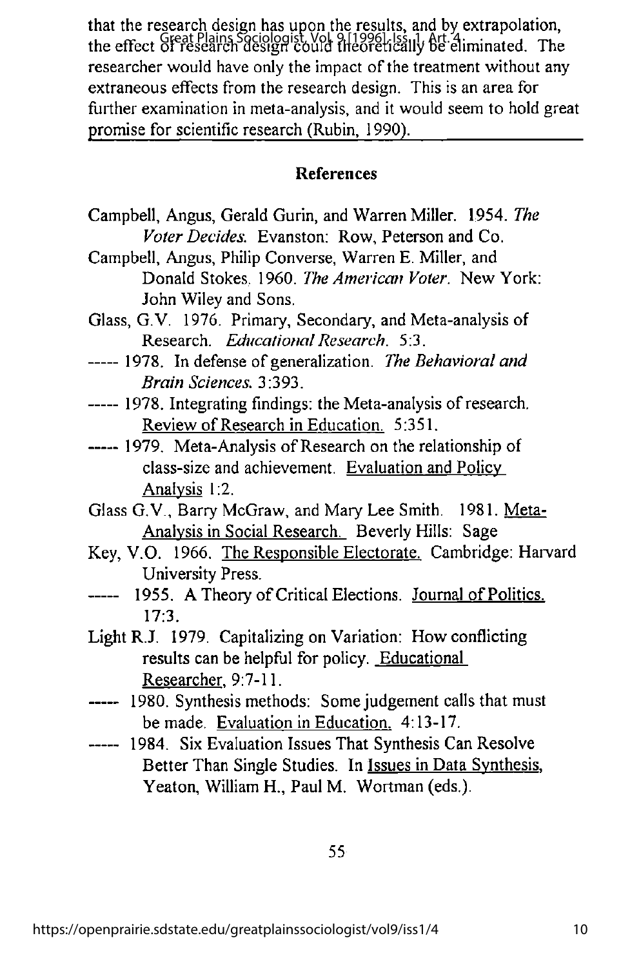that the research design has upon the results, and by extrapolation, The effect of research design could theoretically be eliminated. The researcher would have only the impact of the treatment without any extraneous effects from the research design. This is an area for further examination in meta-analysis, and it would seem to hold great promise for scientific research (Rubin, 1990).

#### References

- Campbell, Angus, Gerald Gurin, and Warren Miller. 1954. The Voter Decides. Evanston; Row, Peterson and Co.
- Campbell, Angus, Philip Converse, Warren E. Miller, and Donald Stokes. 1960. The American Voter. New York; John Wiley and Sons.
- Glass, G.V. 1976. Primary, Secondary, and Meta-analysis of Research. Educational Research. 5:3.
- ----- 1978. In defense of generalization. The Behavioral and Brain Sciences. 3:393.
- ----- 1978. Integrating findings: the Meta-analysis of research. Review of Research in Education. 5:351.
- ----- 1979. Meta-Analysis of Research on the relationship of class-size and achievement. Evaluation and Policy Analysis 1:2.
- Glass G.V., Barry McGraw, and Mary Lee Smith. 1981. Meta-Analvsis in Social Research. Beverly Hills: Sage
- Key, V.O. 1966. The Responsible Electorate. Cambridge: Harvard University Press.
- 1955. A Theory of Critical Elections. Journal of Politics. **-----**17:3.
- Light R.J. 1979. Capitalizing on Variation: How conflicting results can be helpful for policy. Educational Researcher, 9:7-11.
- ----- 1980. Synthesis methods: Some judgement calls that must be made. Evaluation in Education. 4:13-17.
- ----- 1984. Six Evaluation Issues That Synthesis Can Resolve Better Than Single Studies. In Issues in Data Synthesis. Yeaton, William H., Paul M. Wortman (eds.).